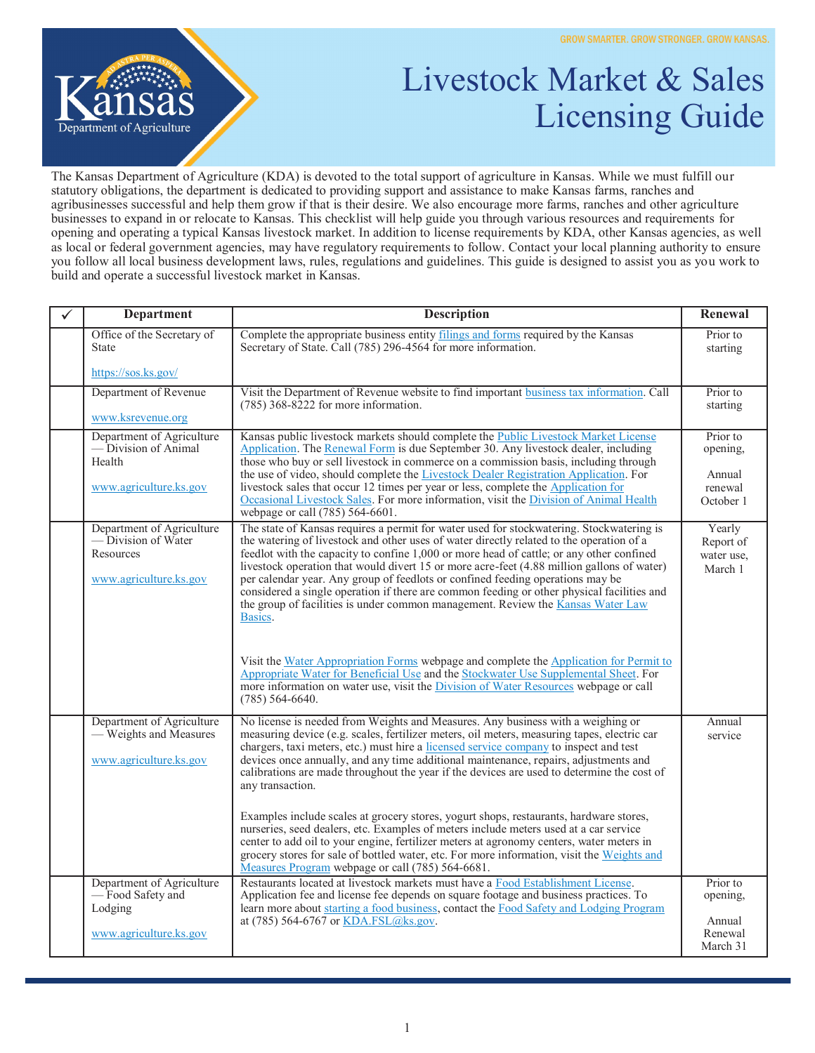

## Livestock Market & Sales Licensing Guide

The Kansas Department of Agriculture (KDA) is devoted to the total support of agriculture in Kansas. While we must fulfill our statutory obligations, the department is dedicated to providing support and assistance to make Kansas farms, ranches and agribusinesses successful and help them grow if that is their desire. We also encourage more farms, ranches and other agriculture businesses to expand in or relocate to Kansas. This checklist will help guide you through various resources and requirements for opening and operating a typical Kansas livestock market. In addition to license requirements by KDA, other Kansas agencies, as well as local or federal government agencies, may have regulatory requirements to follow. Contact your local planning authority to ensure you follow all local business development laws, rules, regulations and guidelines. This guide is designed to assist you as you work to build and operate a successful livestock market in Kansas.

| ✓ | <b>Department</b>                                                                               | <b>Description</b>                                                                                                                                                                                                                                                                                                                                                                                                                                                                                                                                                                                                                                                                                                                                                                                                                                                                                                                                         | Renewal                                                |
|---|-------------------------------------------------------------------------------------------------|------------------------------------------------------------------------------------------------------------------------------------------------------------------------------------------------------------------------------------------------------------------------------------------------------------------------------------------------------------------------------------------------------------------------------------------------------------------------------------------------------------------------------------------------------------------------------------------------------------------------------------------------------------------------------------------------------------------------------------------------------------------------------------------------------------------------------------------------------------------------------------------------------------------------------------------------------------|--------------------------------------------------------|
|   | Office of the Secretary of<br><b>State</b>                                                      | Complete the appropriate business entity filings and forms required by the Kansas<br>Secretary of State. Call (785) 296-4564 for more information.                                                                                                                                                                                                                                                                                                                                                                                                                                                                                                                                                                                                                                                                                                                                                                                                         | Prior to<br>starting                                   |
|   | https://sos.ks.gov/                                                                             |                                                                                                                                                                                                                                                                                                                                                                                                                                                                                                                                                                                                                                                                                                                                                                                                                                                                                                                                                            |                                                        |
|   | Department of Revenue<br>www.ksrevenue.org                                                      | Visit the Department of Revenue website to find important business tax information. Call<br>$(785)$ 368-8222 for more information.                                                                                                                                                                                                                                                                                                                                                                                                                                                                                                                                                                                                                                                                                                                                                                                                                         | Prior to<br>starting                                   |
|   | Department of Agriculture<br>$-\tilde{D}$ ivision of Animal<br>Health<br>www.agriculture.ks.gov | Kansas public livestock markets should complete the Public Livestock Market License<br>Application. The Renewal Form is due September 30. Any livestock dealer, including<br>those who buy or sell livestock in commerce on a commission basis, including through<br>the use of video, should complete the Livestock Dealer Registration Application. For<br>livestock sales that occur 12 times per year or less, complete the Application for<br>Occasional Livestock Sales. For more information, visit the Division of Animal Health<br>webpage or call (785) 564-6601.                                                                                                                                                                                                                                                                                                                                                                                | Prior to<br>opening,<br>Annual<br>renewal<br>October 1 |
|   | Department of Agriculture<br>— Division of Water<br>Resources<br>www.agriculture.ks.gov         | The state of Kansas requires a permit for water used for stockwatering. Stockwatering is<br>the watering of livestock and other uses of water directly related to the operation of a<br>feedlot with the capacity to confine 1,000 or more head of cattle; or any other confined<br>livestock operation that would divert 15 or more acre-feet (4.88 million gallons of water)<br>per calendar year. Any group of feedlots or confined feeding operations may be<br>considered a single operation if there are common feeding or other physical facilities and<br>the group of facilities is under common management. Review the Kansas Water Law<br>Basics.<br>Visit the Water Appropriation Forms webpage and complete the Application for Permit to<br>Appropriate Water for Beneficial Use and the Stockwater Use Supplemental Sheet. For<br>more information on water use, visit the Division of Water Resources webpage or call<br>$(785)$ 564-6640. | Yearly<br>Report of<br>water use,<br>March 1           |
|   | Department of Agriculture<br>— Weights and Measures<br>www.agriculture.ks.gov                   | No license is needed from Weights and Measures. Any business with a weighing or<br>measuring device (e.g. scales, fertilizer meters, oil meters, measuring tapes, electric car<br>chargers, taxi meters, etc.) must hire a licensed service company to inspect and test<br>devices once annually, and any time additional maintenance, repairs, adjustments and<br>calibrations are made throughout the year if the devices are used to determine the cost of<br>any transaction.<br>Examples include scales at grocery stores, yogurt shops, restaurants, hardware stores,<br>nurseries, seed dealers, etc. Examples of meters include meters used at a car service<br>center to add oil to your engine, fertilizer meters at agronomy centers, water meters in<br>grocery stores for sale of bottled water, etc. For more information, visit the Weights and<br>Measures Program webpage or call (785) 564-6681.                                         | Annual<br>service                                      |
|   | Department of Agriculture<br>-Food Safety and<br>Lodging<br>www.agriculture.ks.gov              | Restaurants located at livestock markets must have a Food Establishment License.<br>Application fee and license fee depends on square footage and business practices. To<br>learn more about starting a food business, contact the Food Safety and Lodging Program<br>at (785) 564-6767 or KDA.FSL@ks.gov.                                                                                                                                                                                                                                                                                                                                                                                                                                                                                                                                                                                                                                                 | Prior to<br>opening,<br>Annual<br>Renewal<br>March 31  |